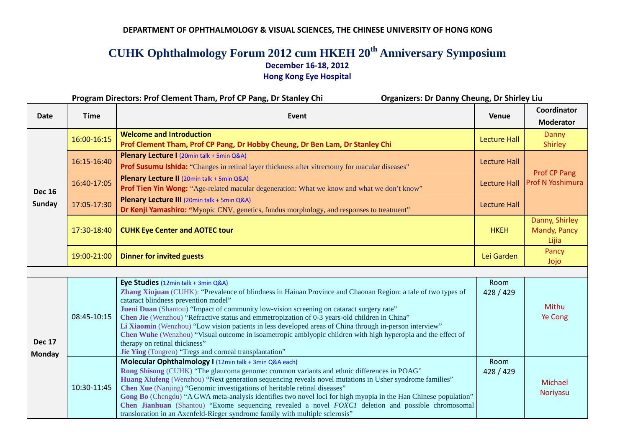## **DEPARTMENT OF OPHTHALMOLOGY & VISUAL SCIENCES, THE CHINESE UNIVERSITY OF HONG KONG**

## **CUHK Ophthalmology Forum 2012 cum HKEH 20th Anniversary Symposium December 16-18, 2012 Hong Kong Eye Hospital**

|                                | <b>Organizers: Dr Danny Cheung, Dr Shirley Liu</b><br>Program Directors: Prof Clement Tham, Prof CP Pang, Dr Stanley Chi |                                                                                                                                                                                                                                                                                                                                                                                                                                                                                                                                                                                                                                                                                                                |                     |                                         |  |
|--------------------------------|--------------------------------------------------------------------------------------------------------------------------|----------------------------------------------------------------------------------------------------------------------------------------------------------------------------------------------------------------------------------------------------------------------------------------------------------------------------------------------------------------------------------------------------------------------------------------------------------------------------------------------------------------------------------------------------------------------------------------------------------------------------------------------------------------------------------------------------------------|---------------------|-----------------------------------------|--|
| <b>Date</b>                    | <b>Time</b>                                                                                                              | Event                                                                                                                                                                                                                                                                                                                                                                                                                                                                                                                                                                                                                                                                                                          | Venue               | Coordinator<br><b>Moderator</b>         |  |
| <b>Dec 16</b><br><b>Sunday</b> | 16:00-16:15                                                                                                              | <b>Welcome and Introduction</b><br>Prof Clement Tham, Prof CP Pang, Dr Hobby Cheung, Dr Ben Lam, Dr Stanley Chi                                                                                                                                                                                                                                                                                                                                                                                                                                                                                                                                                                                                | <b>Lecture Hall</b> | Danny<br><b>Shirley</b>                 |  |
|                                | 16:15-16:40                                                                                                              | Plenary Lecture I (20min talk + 5min Q&A)<br><b>Prof Susumu Ishida:</b> "Changes in retinal layer thickness after vitrectomy for macular diseases"                                                                                                                                                                                                                                                                                                                                                                                                                                                                                                                                                             | Lecture Hall        |                                         |  |
|                                | 16:40-17:05                                                                                                              | Plenary Lecture II (20min talk + 5min Q&A)<br>Prof Tien Yin Wong: "Age-related macular degeneration: What we know and what we don't know"                                                                                                                                                                                                                                                                                                                                                                                                                                                                                                                                                                      | <b>Lecture Hall</b> | Prof CP Pang<br>Prof N Yoshimura        |  |
|                                | 17:05-17:30                                                                                                              | Plenary Lecture III (20min talk + 5min Q&A)<br>Dr Kenji Yamashiro: "Myopic CNV, genetics, fundus morphology, and responses to treatment"                                                                                                                                                                                                                                                                                                                                                                                                                                                                                                                                                                       | Lecture Hall        |                                         |  |
|                                | 17:30-18:40                                                                                                              | <b>CUHK Eye Center and AOTEC tour</b>                                                                                                                                                                                                                                                                                                                                                                                                                                                                                                                                                                                                                                                                          | <b>HKEH</b>         | Danny, Shirley<br>Mandy, Pancy<br>Lijia |  |
|                                | 19:00-21:00                                                                                                              | <b>Dinner for invited guests</b>                                                                                                                                                                                                                                                                                                                                                                                                                                                                                                                                                                                                                                                                               | Lei Garden          | Pancy<br>Jojo                           |  |
|                                |                                                                                                                          |                                                                                                                                                                                                                                                                                                                                                                                                                                                                                                                                                                                                                                                                                                                |                     |                                         |  |
| <b>Dec 17</b><br><b>Monday</b> | 08:45-10:15                                                                                                              | Eye Studies (12min talk + 3min Q&A)<br>Zhang Xiujuan (CUHK): "Prevalence of blindness in Hainan Province and Chaonan Region: a tale of two types of<br>cataract blindness prevention model"<br>Jueni Duan (Shantou) "Impact of community low-vision screening on cataract surgery rate"<br>Chen Jie (Wenzhou) "Refractive status and emmetropization of 0-3 years-old children in China"<br>Li Xiaomin (Wenzhou) "Low vision patients in less developed areas of China through in-person interview"<br>Chen Wuhe (Wenzhou) "Visual outcome in isoametropic amblyopic children with high hyperopia and the effect of<br>therapy on retinal thickness"<br>Jie Ying (Tongren) "Tregs and corneal transplantation" | Room<br>428 / 429   | Mithu<br>Ye Cong                        |  |
|                                | 10:30-11:45                                                                                                              | Molecular Ophthalmology I (12min talk + 3min Q&A each)<br>Rong Shisong (CUHK) "The glaucoma genome: common variants and ethnic differences in POAG"<br>Huang Xiufeng (Wenzhou) "Next generation sequencing reveals novel mutations in Usher syndrome families"<br>Chen Xue (Nanjing) "Genomic investigations of heritable retinal diseases"<br>Gong Bo (Chengdu) "A GWA meta-analysis identifies two novel loci for high myopia in the Han Chinese population"<br>Chen Jianhuan (Shantou) "Exome sequencing revealed a novel <i>FOXC1</i> deletion and possible chromosomal<br>translocation in an Axenfeld-Rieger syndrome family with multiple sclerosis"                                                    | Room<br>428 / 429   | Michael<br>Noriyasu                     |  |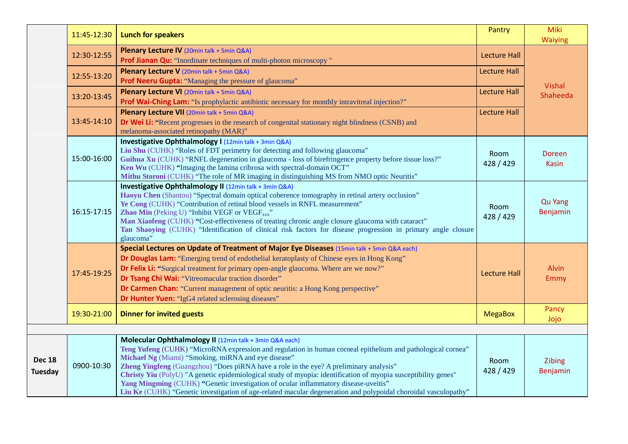|                          | 11:45-12:30 | <b>Lunch for speakers</b>                                                                                                                                                                                                                                                                                                                                                                                                                                                                                                                                                                                                                           | Pantry                   | Miki<br><b>Waiying</b>     |
|--------------------------|-------------|-----------------------------------------------------------------------------------------------------------------------------------------------------------------------------------------------------------------------------------------------------------------------------------------------------------------------------------------------------------------------------------------------------------------------------------------------------------------------------------------------------------------------------------------------------------------------------------------------------------------------------------------------------|--------------------------|----------------------------|
|                          | 12:30-12:55 | Plenary Lecture IV (20min talk + 5min Q&A)<br>Prof Jianan Qu: "Inordinate techniques of multi-photon microscopy"                                                                                                                                                                                                                                                                                                                                                                                                                                                                                                                                    | <b>Lecture Hall</b>      |                            |
|                          | 12:55-13:20 | Plenary Lecture V (20min talk + 5min Q&A)<br><b>Prof Neeru Gupta:</b> "Managing the pressure of glaucoma"                                                                                                                                                                                                                                                                                                                                                                                                                                                                                                                                           | <b>Lecture Hall</b>      |                            |
|                          | 13:20-13:45 | Plenary Lecture VI (20min talk + 5min Q&A)<br>Prof Wai-Ching Lam: "Is prophylactic antibiotic necessary for monthly intravitreal injection?"                                                                                                                                                                                                                                                                                                                                                                                                                                                                                                        | <b>Lecture Hall</b>      | Vishal<br>Shaheeda         |
|                          | 13:45-14:10 | Plenary Lecture VII (20min talk + 5min Q&A)<br><b>Dr Wei Li:</b> "Recent progresses in the research of congenital stationary night blindness (CSNB) and<br>melanoma-associated retinopathy (MAR)"                                                                                                                                                                                                                                                                                                                                                                                                                                                   | <b>Lecture Hall</b>      |                            |
|                          | 15:00-16:00 | Investigative Ophthalmology I (12min talk + 3min Q&A)<br>Liu Shu (CUHK) "Roles of FDT perimetry for detecting and following glaucoma"<br>Guihua Xu (CUHK) "RNFL degeneration in glaucoma - loss of birefringence property before tissue loss?"<br>Ken Wu (CUHK) "Imaging the lamina cribrosa with spectral-domain OCT"<br>Mithu Storoni (CUHK) "The role of MR imaging in distinguishing MS from NMO optic Neuritis"                                                                                                                                                                                                                                | <b>Room</b><br>428 / 429 | Doreen<br>Kasin            |
|                          | 16:15-17:15 | Investigative Ophthalmology II (12min talk + 3min Q&A)<br>Haoyu Chen (Shantou) "Spectral domain optical coherence tomography in retinal artery occlusion"<br>Ye Cong (CUHK) "Contribution of retinal blood vessels in RNFL measurement"<br>Zhao Min (Peking U) "Inhibit VEGF or VEGF <sub>xxx</sub> "<br>Man Xiaofeng (CUHK) "Cost-effectiveness of treating chronic angle closure glaucoma with cataract"<br>Tan Shaoying (CUHK) "Identification of clinical risk factors for disease progression in primary angle closure<br>glaucoma"                                                                                                            | Room<br>428 / 429        | <b>Qu Yang</b><br>Benjamin |
|                          | 17:45-19:25 | Special Lectures on Update of Treatment of Major Eye Diseases (15min talk + 5min Q&A each)<br>Dr Douglas Lam: "Emerging trend of endothelial keratoplasty of Chinese eyes in Hong Kong"<br><b>Dr Felix Li:</b> "Surgical treatment for primary open-angle glaucoma. Where are we now?"<br>Dr Tsang Chi Wai: "Vitreomacular traction disorder"<br>Dr Carmen Chan: "Current management of optic neuritis: a Hong Kong perspective"<br><b>Dr Hunter Yuen:</b> "IgG4 related sclerosing diseases"                                                                                                                                                       | <b>Lecture Hall</b>      | <b>Alvin</b><br>Emmy       |
|                          | 19:30-21:00 | <b>Dinner for invited guests</b>                                                                                                                                                                                                                                                                                                                                                                                                                                                                                                                                                                                                                    | <b>MegaBox</b>           | Pancy<br>Jojo              |
| <b>Dec 18</b><br>Tuesday | 0900-10:30  | Molecular Ophthalmology II (12min talk + 3min Q&A each)<br>Teng Yufeng (CUHK) "MicroRNA expression and regulation in human corneal epithelium and pathological cornea"<br>Michael Ng (Miami) "Smoking, miRNA and eye disease"<br>Zheng Yingfeng (Guangzhou) "Does piRNA have a role in the eye? A preliminary analysis"<br>Christy Yiu (PolyU) "A genetic epidemiological study of myopia: identification of myopia susceptibility genes"<br>Yang Mingming (CUHK) "Genetic investigation of ocular inflammatory disease-uveitis"<br>Liu Ke (CUHK) "Genetic investigation of age-related macular degeneration and polypoidal choroidal vasculopathy" | Room<br>428 / 429        | Zibing<br>Benjamin         |